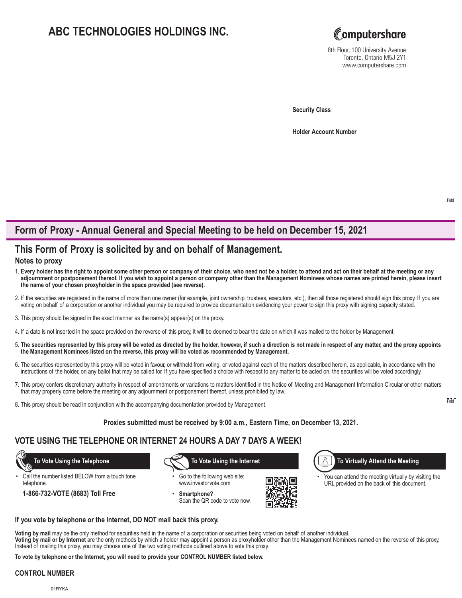# **ABC TECHNOLOGIES HOLDINGS INC.**



8th Floor, 100 University Avenue Toronto, Ontario M5J 2Y1 www.computershare.com

**Security Class**

**Holder Account Number** 

## **Form of Proxy - Annual General and Special Meeting to be held on December 15, 2021**

### **This Form of Proxy is solicited by and on behalf of Management.**

#### **Notes to proxy**

- 1. **Every holder has the right to appoint some other person or company of their choice, who need not be a holder, to attend and act on their behalf at the meeting or any adjournment or postponement thereof. If you wish to appoint a person or company other than the Management Nominees whose names are printed herein, please insert the name of your chosen proxyholder in the space provided (see reverse).**
- 2. If the securities are registered in the name of more than one owner (for example, joint ownership, trustees, executors, etc.), then all those registered should sign this proxy. If you are voting on behalf of a corporation or another individual you may be required to provide documentation evidencing your power to sign this proxy with signing capacity stated.
- 3. This proxy should be signed in the exact manner as the name(s) appear(s) on the proxy.
- 4. If a date is not inserted in the space provided on the reverse of this proxy, it will be deemed to bear the date on which it was mailed to the holder by Management.
- 5. **The securities represented by this proxy will be voted as directed by the holder, however, if such a direction is not made in respect of any matter, and the proxy appoints the Management Nominees listed on the reverse, this proxy will be voted as recommended by Management.**
- 6. The securities represented by this proxy will be voted in favour, or withheld from voting, or voted against each of the matters described herein, as applicable, in accordance with the instructions of the holder, on any ballot that may be called for. If you have specified a choice with respect to any matter to be acted on, the securities will be voted accordingly.
- 7. This proxy confers discretionary authority in respect of amendments or variations to matters identified in the Notice of Meeting and Management Information Circular or other matters that may properly come before the meeting or any adjournment or postponement thereof, unless prohibited by law.
- 8. This proxy should be read in conjunction with the accompanying documentation provided by Management.

#### **Proxies submitted must be received by 9:00 a.m., Eastern Time, on December 13, 2021.**

### **VOTE USING THE TELEPHONE OR INTERNET 24 HOURS A DAY 7 DAYS A WEEK!**

Call the number listed BELOW from a touch tone telephone.

**1-866-732-VOTE (8683) Toll Free**

 **To Vote Using the Telephone To Vote Using the Internet**

Go to the following web site: www.investorvote.com

• **Smartphone?** Scan the QR code to vote now.



Å **To Virtually Attend the Meeting**

You can attend the meeting virtually by visiting the URL provided on the back of this document.

**If you vote by telephone or the Internet, DO NOT mail back this proxy.**

**Voting by mail** may be the only method for securities held in the name of a corporation or securities being voted on behalf of another individual.

**Voting by mail or by Internet** are the only methods by which a holder may appoint a person as proxyholder other than the Management Nominees named on the reverse of this proxy. Instead of mailing this proxy, you may choose one of the two voting methods outlined above to vote this proxy.

**To vote by telephone or the Internet, you will need to provide your CONTROL NUMBER listed below.**

#### **CONTROL NUMBER**